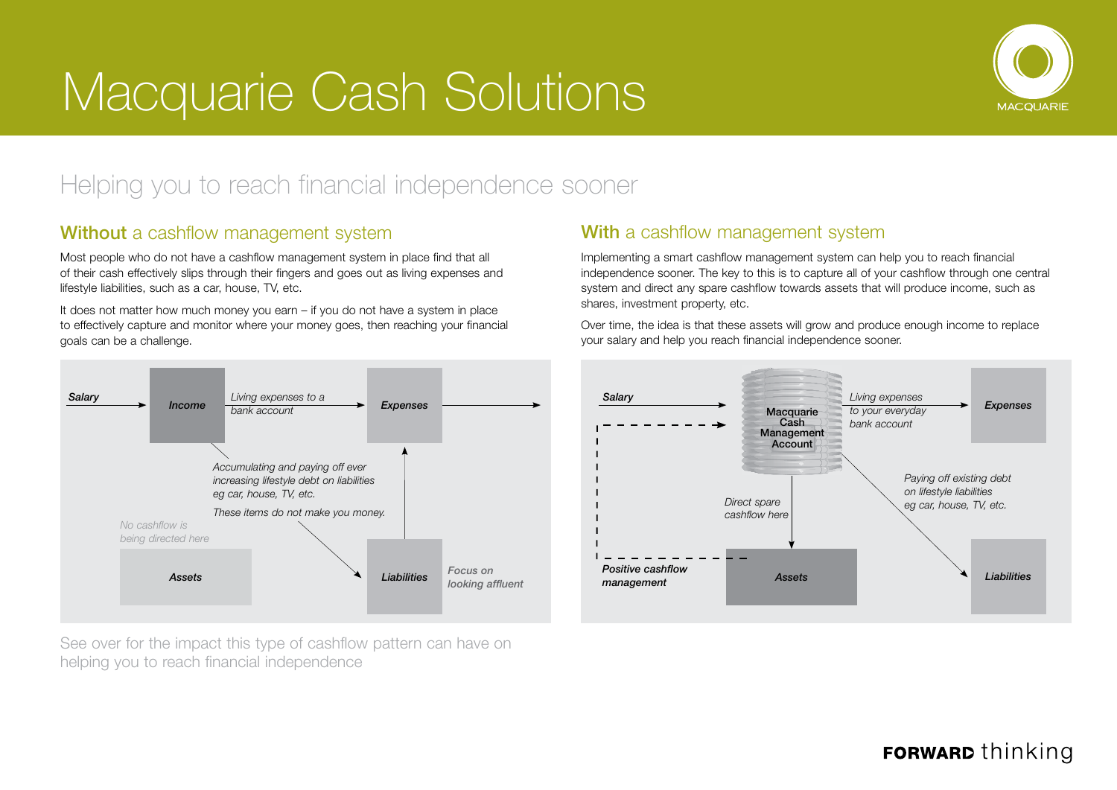# Macquarie Cash Solutions



## Helping you to reach financial independence sooner

#### Without a cashflow management system

Most people who do not have a cashflow management system in place find that all of their cash effectively slips through their fingers and goes out as living expenses and lifestyle liabilities, such as a car, house, TV, etc.

It does not matter how much money you earn – if you do not have a system in place to effectively capture and monitor where your money goes, then reaching your financial goals can be a challenge.



See over for the impact this type of cashflow pattern can have on helping you to reach financial independence

#### With a cashflow management system

Implementing a smart cashflow management system can help you to reach financial independence sooner. The key to this is to capture all of your cashflow through one central system and direct any spare cashflow towards assets that will produce income, such as shares, investment property, etc.

Over time, the idea is that these assets will grow and produce enough income to replace your salary and help you reach financial independence sooner.



### **FORWARD** thinking